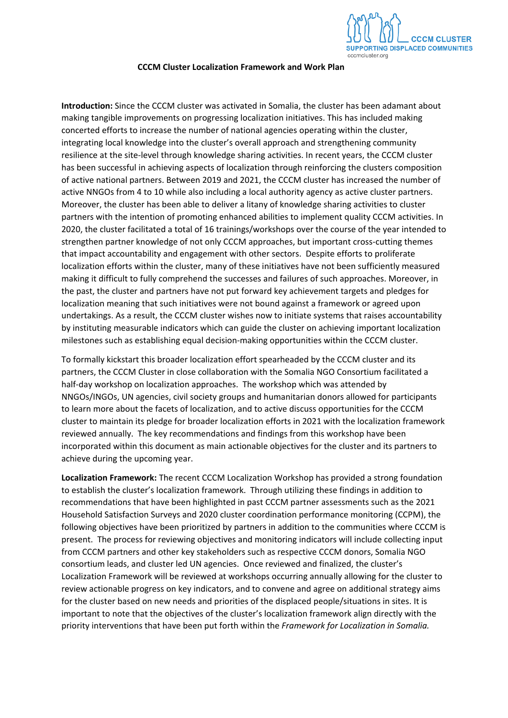

## **CCCM Cluster Localization Framework and Work Plan**

**Introduction:** Since the CCCM cluster was activated in Somalia, the cluster has been adamant about making tangible improvements on progressing localization initiatives. This has included making concerted efforts to increase the number of national agencies operating within the cluster, integrating local knowledge into the cluster's overall approach and strengthening community resilience at the site-level through knowledge sharing activities. In recent years, the CCCM cluster has been successful in achieving aspects of localization through reinforcing the clusters composition of active national partners. Between 2019 and 2021, the CCCM cluster has increased the number of active NNGOs from 4 to 10 while also including a local authority agency as active cluster partners. Moreover, the cluster has been able to deliver a litany of knowledge sharing activities to cluster partners with the intention of promoting enhanced abilities to implement quality CCCM activities. In 2020, the cluster facilitated a total of 16 trainings/workshops over the course of the year intended to strengthen partner knowledge of not only CCCM approaches, but important cross-cutting themes that impact accountability and engagement with other sectors. Despite efforts to proliferate localization efforts within the cluster, many of these initiatives have not been sufficiently measured making it difficult to fully comprehend the successes and failures of such approaches. Moreover, in the past, the cluster and partners have not put forward key achievement targets and pledges for localization meaning that such initiatives were not bound against a framework or agreed upon undertakings. As a result, the CCCM cluster wishes now to initiate systems that raises accountability by instituting measurable indicators which can guide the cluster on achieving important localization milestones such as establishing equal decision-making opportunities within the CCCM cluster.

To formally kickstart this broader localization effort spearheaded by the CCCM cluster and its partners, the CCCM Cluster in close collaboration with the Somalia NGO Consortium facilitated a half-day workshop on localization approaches. The workshop which was attended by NNGOs/INGOs, UN agencies, civil society groups and humanitarian donors allowed for participants to learn more about the facets of localization, and to active discuss opportunities for the CCCM cluster to maintain its pledge for broader localization efforts in 2021 with the localization framework reviewed annually. The key recommendations and findings from this workshop have been incorporated within this document as main actionable objectives for the cluster and its partners to achieve during the upcoming year.

**Localization Framework:** The recent CCCM Localization Workshop has provided a strong foundation to establish the cluster's localization framework. Through utilizing these findings in addition to recommendations that have been highlighted in past CCCM partner assessments such as the 2021 Household Satisfaction Surveys and 2020 cluster coordination performance monitoring (CCPM), the following objectives have been prioritized by partners in addition to the communities where CCCM is present. The process for reviewing objectives and monitoring indicators will include collecting input from CCCM partners and other key stakeholders such as respective CCCM donors, Somalia NGO consortium leads, and cluster led UN agencies. Once reviewed and finalized, the cluster's Localization Framework will be reviewed at workshops occurring annually allowing for the cluster to review actionable progress on key indicators, and to convene and agree on additional strategy aims for the cluster based on new needs and priorities of the displaced people/situations in sites. It is important to note that the objectives of the cluster's localization framework align directly with the priority interventions that have been put forth within the *Framework for Localization in Somalia.*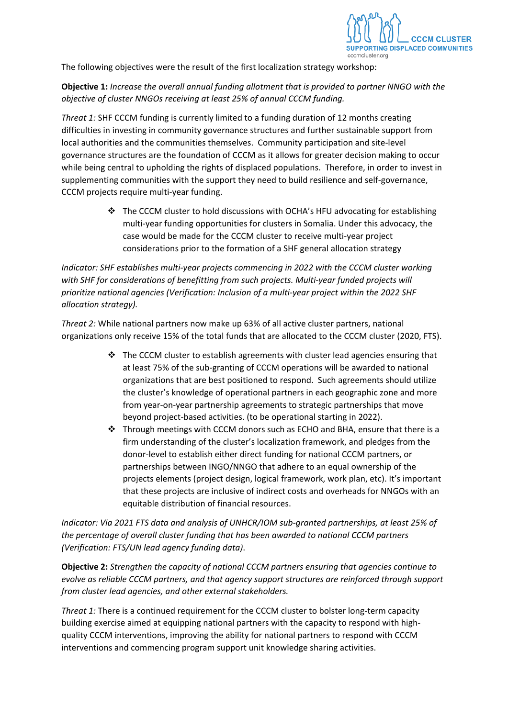

The following objectives were the result of the first localization strategy workshop:

**Objective 1:** *Increase the overall annual funding allotment that is provided to partner NNGO with the objective of cluster NNGOs receiving at least 25% of annual CCCM funding.*

*Threat 1:* SHF CCCM funding is currently limited to a funding duration of 12 months creating difficulties in investing in community governance structures and further sustainable support from local authorities and the communities themselves. Community participation and site-level governance structures are the foundation of CCCM as it allows for greater decision making to occur while being central to upholding the rights of displaced populations. Therefore, in order to invest in supplementing communities with the support they need to build resilience and self-governance, CCCM projects require multi-year funding.

> \* The CCCM cluster to hold discussions with OCHA's HFU advocating for establishing multi-year funding opportunities for clusters in Somalia. Under this advocacy, the case would be made for the CCCM cluster to receive multi-year project considerations prior to the formation of a SHF general allocation strategy

*Indicator: SHF establishes multi-year projects commencing in 2022 with the CCCM cluster working with SHF for considerations of benefitting from such projects. Multi-year funded projects will prioritize national agencies (Verification: Inclusion of a multi-year project within the 2022 SHF allocation strategy).*

*Threat 2:* While national partners now make up 63% of all active cluster partners, national organizations only receive 15% of the total funds that are allocated to the CCCM cluster (2020, FTS).

- $\div$  The CCCM cluster to establish agreements with cluster lead agencies ensuring that at least 75% of the sub-granting of CCCM operations will be awarded to national organizations that are best positioned to respond. Such agreements should utilize the cluster's knowledge of operational partners in each geographic zone and more from year-on-year partnership agreements to strategic partnerships that move beyond project-based activities. (to be operational starting in 2022).
- Through meetings with CCCM donors such as ECHO and BHA, ensure that there is a firm understanding of the cluster's localization framework, and pledges from the donor-level to establish either direct funding for national CCCM partners, or partnerships between INGO/NNGO that adhere to an equal ownership of the projects elements (project design, logical framework, work plan, etc). It's important that these projects are inclusive of indirect costs and overheads for NNGOs with an equitable distribution of financial resources.

*Indicator: Via 2021 FTS data and analysis of UNHCR/IOM sub-granted partnerships, at least 25% of the percentage of overall cluster funding that has been awarded to national CCCM partners (Verification: FTS/UN lead agency funding data)*.

**Objective 2:** *Strengthen the capacity of national CCCM partners ensuring that agencies continue to evolve as reliable CCCM partners, and that agency support structures are reinforced through support from cluster lead agencies, and other external stakeholders.*

*Threat 1:* There is a continued requirement for the CCCM cluster to bolster long-term capacity building exercise aimed at equipping national partners with the capacity to respond with highquality CCCM interventions, improving the ability for national partners to respond with CCCM interventions and commencing program support unit knowledge sharing activities.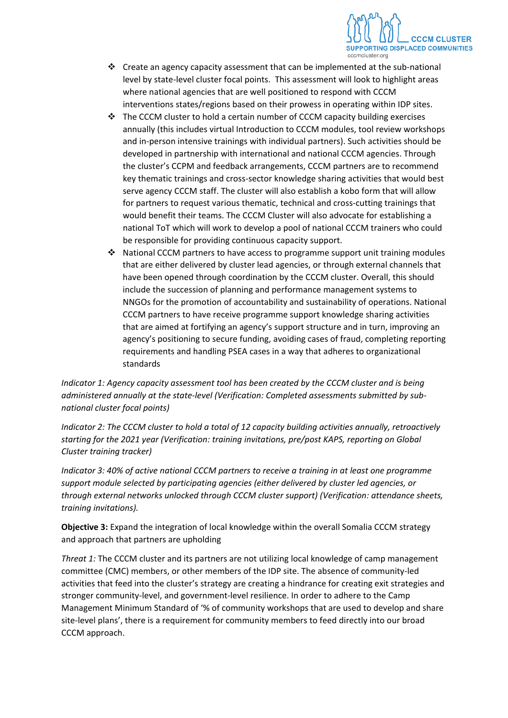

- $\div$  Create an agency capacity assessment that can be implemented at the sub-national level by state-level cluster focal points. This assessment will look to highlight areas where national agencies that are well positioned to respond with CCCM interventions states/regions based on their prowess in operating within IDP sites.
- \* The CCCM cluster to hold a certain number of CCCM capacity building exercises annually (this includes virtual Introduction to CCCM modules, tool review workshops and in-person intensive trainings with individual partners). Such activities should be developed in partnership with international and national CCCM agencies. Through the cluster's CCPM and feedback arrangements, CCCM partners are to recommend key thematic trainings and cross-sector knowledge sharing activities that would best serve agency CCCM staff. The cluster will also establish a kobo form that will allow for partners to request various thematic, technical and cross-cutting trainings that would benefit their teams. The CCCM Cluster will also advocate for establishing a national ToT which will work to develop a pool of national CCCM trainers who could be responsible for providing continuous capacity support.
- $\div$  National CCCM partners to have access to programme support unit training modules that are either delivered by cluster lead agencies, or through external channels that have been opened through coordination by the CCCM cluster. Overall, this should include the succession of planning and performance management systems to NNGOs for the promotion of accountability and sustainability of operations. National CCCM partners to have receive programme support knowledge sharing activities that are aimed at fortifying an agency's support structure and in turn, improving an agency's positioning to secure funding, avoiding cases of fraud, completing reporting requirements and handling PSEA cases in a way that adheres to organizational standards

*Indicator 1: Agency capacity assessment tool has been created by the CCCM cluster and is being administered annually at the state-level (Verification: Completed assessments submitted by subnational cluster focal points)*

*Indicator 2: The CCCM cluster to hold a total of 12 capacity building activities annually, retroactively starting for the 2021 year (Verification: training invitations, pre/post KAPS, reporting on Global Cluster training tracker)*

*Indicator 3: 40% of active national CCCM partners to receive a training in at least one programme support module selected by participating agencies (either delivered by cluster led agencies, or through external networks unlocked through CCCM cluster support) (Verification: attendance sheets, training invitations).*

**Objective 3:** Expand the integration of local knowledge within the overall Somalia CCCM strategy and approach that partners are upholding

*Threat 1:* The CCCM cluster and its partners are not utilizing local knowledge of camp management committee (CMC) members, or other members of the IDP site. The absence of community-led activities that feed into the cluster's strategy are creating a hindrance for creating exit strategies and stronger community-level, and government-level resilience. In order to adhere to the Camp Management Minimum Standard of '% of community workshops that are used to develop and share site-level plans', there is a requirement for community members to feed directly into our broad CCCM approach.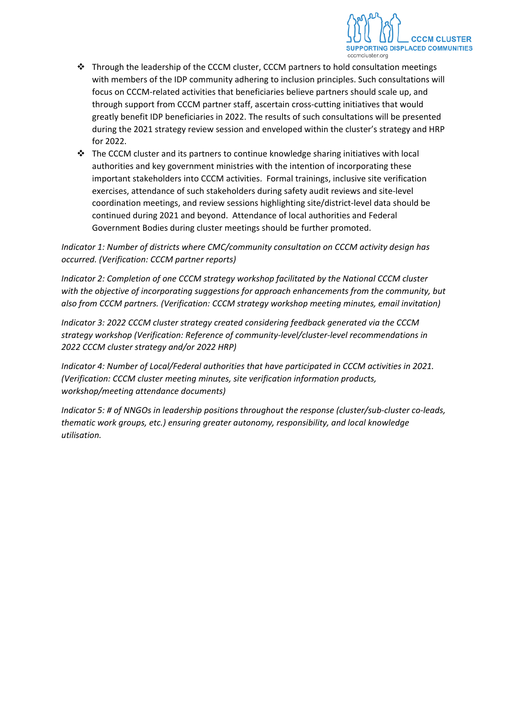

- $\cdot \cdot$  Through the leadership of the CCCM cluster, CCCM partners to hold consultation meetings with members of the IDP community adhering to inclusion principles. Such consultations will focus on CCCM-related activities that beneficiaries believe partners should scale up, and through support from CCCM partner staff, ascertain cross-cutting initiatives that would greatly benefit IDP beneficiaries in 2022. The results of such consultations will be presented during the 2021 strategy review session and enveloped within the cluster's strategy and HRP for 2022.
- $\div$  The CCCM cluster and its partners to continue knowledge sharing initiatives with local authorities and key government ministries with the intention of incorporating these important stakeholders into CCCM activities. Formal trainings, inclusive site verification exercises, attendance of such stakeholders during safety audit reviews and site-level coordination meetings, and review sessions highlighting site/district-level data should be continued during 2021 and beyond. Attendance of local authorities and Federal Government Bodies during cluster meetings should be further promoted.

*Indicator 1: Number of districts where CMC/community consultation on CCCM activity design has occurred. (Verification: CCCM partner reports)*

*Indicator 2: Completion of one CCCM strategy workshop facilitated by the National CCCM cluster with the objective of incorporating suggestions for approach enhancements from the community, but also from CCCM partners. (Verification: CCCM strategy workshop meeting minutes, email invitation)*

*Indicator 3: 2022 CCCM cluster strategy created considering feedback generated via the CCCM strategy workshop (Verification: Reference of community-level/cluster-level recommendations in 2022 CCCM cluster strategy and/or 2022 HRP)*

*Indicator 4: Number of Local/Federal authorities that have participated in CCCM activities in 2021. (Verification: CCCM cluster meeting minutes, site verification information products, workshop/meeting attendance documents)*

*Indicator 5: # of NNGOs in leadership positions throughout the response (cluster/sub-cluster co-leads, thematic work groups, etc.) ensuring greater autonomy, responsibility, and local knowledge utilisation.*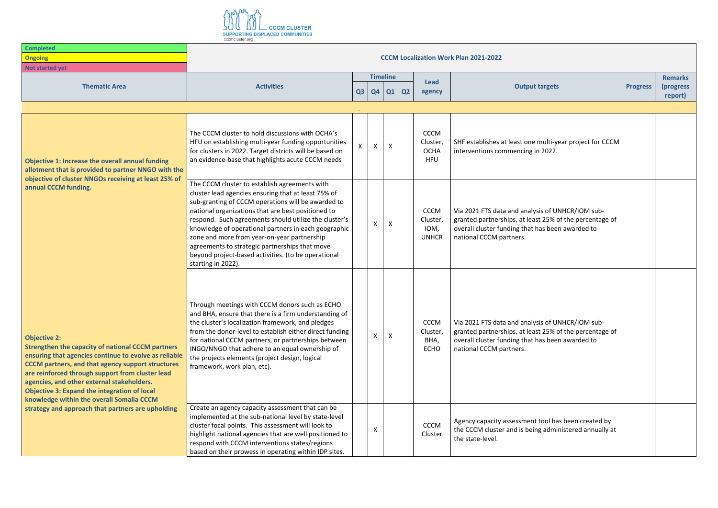

| <b>Completed</b>                                                                                                                                                                                                                                                                                                                                                                                           | <b>CCCM Localization Work Plan 2021-2022</b>                                                                                                                                                                                                                                                                                                                                                                                                                                                                    |                   |                           |                |                                                      |                                                                                                                                                                                            |                 |                                        |  |  |
|------------------------------------------------------------------------------------------------------------------------------------------------------------------------------------------------------------------------------------------------------------------------------------------------------------------------------------------------------------------------------------------------------------|-----------------------------------------------------------------------------------------------------------------------------------------------------------------------------------------------------------------------------------------------------------------------------------------------------------------------------------------------------------------------------------------------------------------------------------------------------------------------------------------------------------------|-------------------|---------------------------|----------------|------------------------------------------------------|--------------------------------------------------------------------------------------------------------------------------------------------------------------------------------------------|-----------------|----------------------------------------|--|--|
| <b>Ongoing</b>                                                                                                                                                                                                                                                                                                                                                                                             |                                                                                                                                                                                                                                                                                                                                                                                                                                                                                                                 |                   |                           |                |                                                      |                                                                                                                                                                                            |                 |                                        |  |  |
| Not started yet                                                                                                                                                                                                                                                                                                                                                                                            |                                                                                                                                                                                                                                                                                                                                                                                                                                                                                                                 |                   |                           |                |                                                      |                                                                                                                                                                                            |                 |                                        |  |  |
| <b>Thematic Area</b>                                                                                                                                                                                                                                                                                                                                                                                       | <b>Activities</b>                                                                                                                                                                                                                                                                                                                                                                                                                                                                                               | $Q3$ $Q4$         | <b>Timeline</b><br>Q1     | $\overline{Q}$ | <b>Lead</b><br>agency                                | <b>Output targets</b>                                                                                                                                                                      | <b>Progress</b> | <b>Remarks</b><br>(progress<br>report) |  |  |
|                                                                                                                                                                                                                                                                                                                                                                                                            |                                                                                                                                                                                                                                                                                                                                                                                                                                                                                                                 |                   |                           |                |                                                      |                                                                                                                                                                                            |                 |                                        |  |  |
| Objective 1: Increase the overall annual funding<br>allotment that is provided to partner NNGO with the<br>objective of cluster NNGOs receiving at least 25% of                                                                                                                                                                                                                                            | The CCCM cluster to hold discussions with OCHA's<br>HFU on establishing multi-year funding opportunities<br>for clusters in 2022. Target districts will be based on<br>an evidence-base that highlights acute CCCM needs                                                                                                                                                                                                                                                                                        | $\mathsf{x}$<br>X | $\boldsymbol{\mathsf{X}}$ |                | <b>CCCM</b><br>Cluster,<br><b>OCHA</b><br><b>HFU</b> | SHF establishes at least one multi-year project for CCCM<br>interventions commencing in 2022.                                                                                              |                 |                                        |  |  |
| annual CCCM funding.                                                                                                                                                                                                                                                                                                                                                                                       | The CCCM cluster to establish agreements with<br>cluster lead agencies ensuring that at least 75% of<br>sub-granting of CCCM operations will be awarded to<br>national organizations that are best positioned to<br>respond. Such agreements should utilize the cluster's<br>knowledge of operational partners in each geographic<br>zone and more from year-on-year partnership<br>agreements to strategic partnerships that move<br>beyond project-based activities. (to be operational<br>starting in 2022). | Χ                 | X                         |                | <b>CCCM</b><br>Cluster,<br>IOM,<br><b>UNHCR</b>      | Via 2021 FTS data and analysis of UNHCR/IOM sub-<br>granted partnerships, at least 25% of the percentage of<br>overall cluster funding that has been awarded to<br>national CCCM partners. |                 |                                        |  |  |
| <b>Objective 2:</b><br><b>Strengthen the capacity of national CCCM partners</b><br>ensuring that agencies continue to evolve as reliable<br><b>CCCM</b> partners, and that agency support structures<br>are reinforced through support from cluster lead<br>agencies, and other external stakeholders.<br><b>Objective 3: Expand the integration of local</b><br>knowledge within the overall Somalia CCCM | Through meetings with CCCM donors such as ECHO<br>and BHA, ensure that there is a firm understanding of<br>the cluster's localization framework, and pledges<br>from the donor-level to establish either direct funding<br>for national CCCM partners, or partnerships between<br>INGO/NNGO that adhere to an equal ownership of<br>the projects elements (project design, logical<br>framework, work plan, etc).                                                                                               | Χ                 | X                         |                | <b>CCCM</b><br>Cluster,<br>BHA,<br><b>ECHO</b>       | Via 2021 FTS data and analysis of UNHCR/IOM sub-<br>granted partnerships, at least 25% of the percentage of<br>overall cluster funding that has been awarded to<br>national CCCM partners. |                 |                                        |  |  |
| strategy and approach that partners are upholding                                                                                                                                                                                                                                                                                                                                                          | Create an agency capacity assessment that can be<br>implemented at the sub-national level by state-level<br>cluster focal points. This assessment will look to<br>highlight national agencies that are well positioned to<br>respond with CCCM interventions states/regions<br>based on their prowess in operating within IDP sites.                                                                                                                                                                            |                   |                           |                | <b>CCCM</b><br>Cluster                               | Agency capacity assessment tool has been created by<br>the CCCM cluster and is being administered annually at<br>the state-level.                                                          |                 |                                        |  |  |